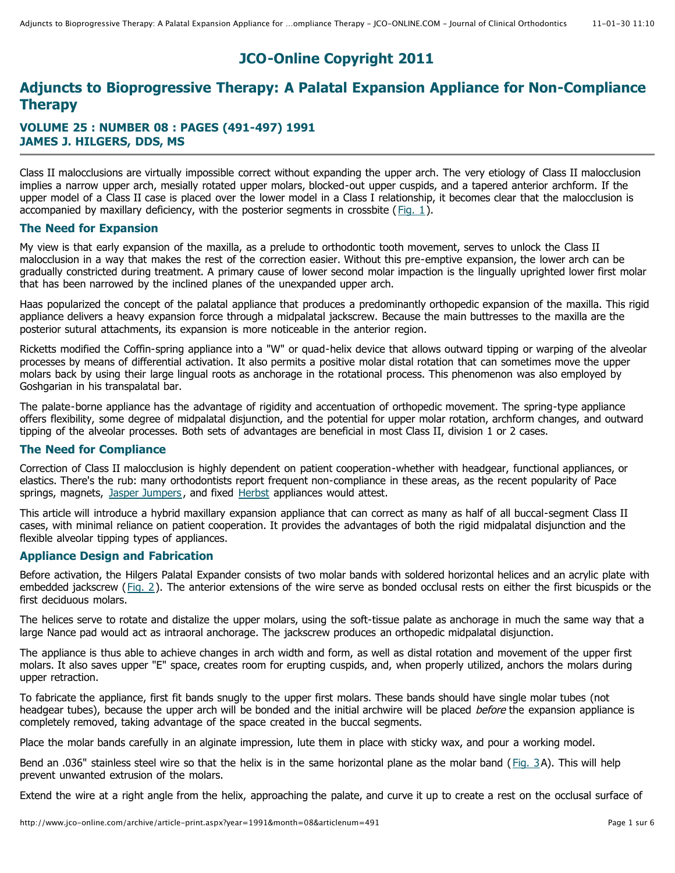# **JCO-Online Copyright 2011**

## **Adjuncts to Bioprogressive Therapy: A Palatal Expansion Appliance for Non-Compliance Therapy**

## **VOLUME 25 : NUMBER 08 : PAGES (491-497) 1991 JAMES J. HILGERS, DDS, MS**

Class II malocclusions are virtually impossible correct without expanding the upper arch. The very etiology of Class II malocclusion implies a narrow upper arch, mesially rotated upper molars, blocked-out upper cuspids, and a tapered anterior archform. If the upper model of a Class II case is placed over the lower model in a Class I relationship, it becomes clear that the malocclusion is accompanied by maxillary deficiency, with the posterior segments in crossbite ( $Fig. 1$ ).

## **The Need for Expansion**

My view is that early expansion of the maxilla, as a prelude to orthodontic tooth movement, serves to unlock the Class II malocclusion in a way that makes the rest of the correction easier. Without this pre-emptive expansion, the lower arch can be gradually constricted during treatment. A primary cause of lower second molar impaction is the lingually uprighted lower first molar that has been narrowed by the inclined planes of the unexpanded upper arch.

Haas popularized the concept of the palatal appliance that produces a predominantly orthopedic expansion of the maxilla. This rigid appliance delivers a heavy expansion force through a midpalatal jackscrew. Because the main buttresses to the maxilla are the posterior sutural attachments, its expansion is more noticeable in the anterior region.

Ricketts modified the Coffin-spring appliance into a "W" or quad-helix device that allows outward tipping or warping of the alveolar processes by means of differential activation. It also permits a positive molar distal rotation that can sometimes move the upper molars back by using their large lingual roots as anchorage in the rotational process. This phenomenon was also employed by Goshgarian in his transpalatal bar.

The palate-borne appliance has the advantage of rigidity and accentuation of orthopedic movement. The spring-type appliance offers flexibility, some degree of midpalatal disjunction, and the potential for upper molar rotation, archform changes, and outward tipping of the alveolar processes. Both sets of advantages are beneficial in most Class II, division 1 or 2 cases.

## **The Need for Compliance**

Correction of Class II malocclusion is highly dependent on patient cooperation-whether with headgear, functional appliances, or elastics. There's the rub: many orthodontists report frequent non-compliance in these areas, as the recent popularity of Pace springs, magnets, Jasper Jumpers , and fixed Herbst appliances would attest.

This article will introduce a hybrid maxillary expansion appliance that can correct as many as half of all buccal-segment Class II cases, with minimal reliance on patient cooperation. It provides the advantages of both the rigid midpalatal disjunction and the flexible alveolar tipping types of appliances.

## **Appliance Design and Fabrication**

Before activation, the Hilgers Palatal Expander consists of two molar bands with soldered horizontal helices and an acrylic plate with embedded jackscrew (Fig. 2). The anterior extensions of the wire serve as bonded occlusal rests on either the first bicuspids or the first deciduous molars.

The helices serve to rotate and distalize the upper molars, using the soft-tissue palate as anchorage in much the same way that a large Nance pad would act as intraoral anchorage. The jackscrew produces an orthopedic midpalatal disjunction.

The appliance is thus able to achieve changes in arch width and form, as well as distal rotation and movement of the upper first molars. It also saves upper "E" space, creates room for erupting cuspids, and, when properly utilized, anchors the molars during upper retraction.

To fabricate the appliance, first fit bands snugly to the upper first molars. These bands should have single molar tubes (not headgear tubes), because the upper arch will be bonded and the initial archwire will be placed before the expansion appliance is completely removed, taking advantage of the space created in the buccal segments.

Place the molar bands carefully in an alginate impression, lute them in place with sticky wax, and pour a working model.

Bend an .036" stainless steel wire so that the helix is in the same horizontal plane as the molar band ( Fig. 3A). This will help prevent unwanted extrusion of the molars.

Extend the wire at a right angle from the helix, approaching the palate, and curve it up to create a rest on the occlusal surface of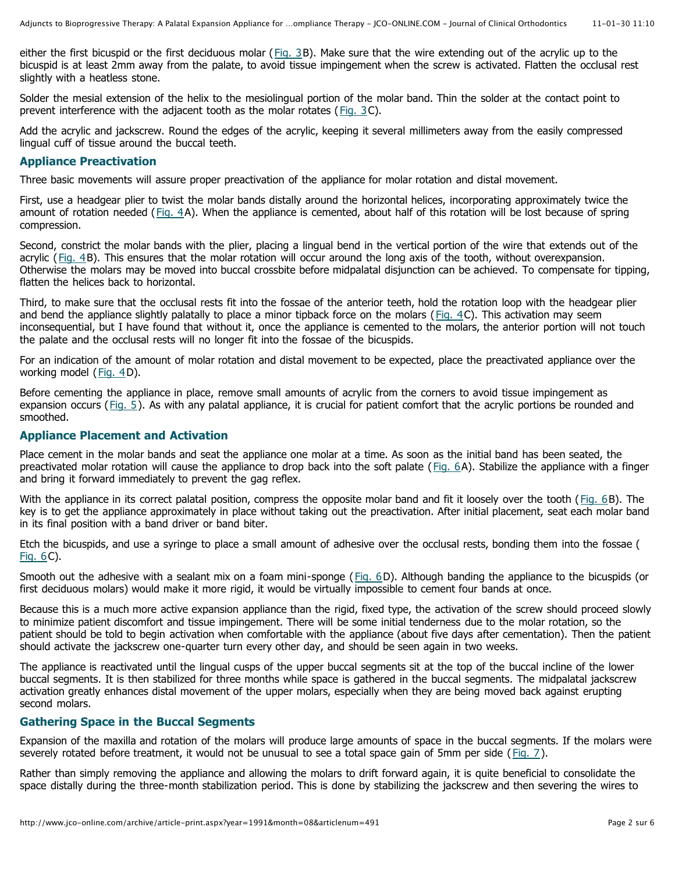either the first bicuspid or the first deciduous molar ( $Fig. 3B$ ). Make sure that the wire extending out of the acrylic up to the bicuspid is at least 2mm away from the palate, to avoid tissue impingement when the screw is activated. Flatten the occlusal rest slightly with a heatless stone.

Solder the mesial extension of the helix to the mesiolingual portion of the molar band. Thin the solder at the contact point to prevent interference with the adjacent tooth as the molar rotates (Fig. 3C).

Add the acrylic and jackscrew. Round the edges of the acrylic, keeping it several millimeters away from the easily compressed lingual cuff of tissue around the buccal teeth.

#### **Appliance Preactivation**

Three basic movements will assure proper preactivation of the appliance for molar rotation and distal movement.

First, use a headgear plier to twist the molar bands distally around the horizontal helices, incorporating approximately twice the amount of rotation needed (Fig. 4A). When the appliance is cemented, about half of this rotation will be lost because of spring compression.

Second, constrict the molar bands with the plier, placing a lingual bend in the vertical portion of the wire that extends out of the acrylic (Fig. 4B). This ensures that the molar rotation will occur around the long axis of the tooth, without overexpansion. Otherwise the molars may be moved into buccal crossbite before midpalatal disjunction can be achieved. To compensate for tipping, flatten the helices back to horizontal.

Third, to make sure that the occlusal rests fit into the fossae of the anterior teeth, hold the rotation loop with the headgear plier and bend the appliance slightly palatally to place a minor tipback force on the molars ( $Fig. 4C$ ). This activation may seem inconsequential, but I have found that without it, once the appliance is cemented to the molars, the anterior portion will not touch the palate and the occlusal rests will no longer fit into the fossae of the bicuspids.

For an indication of the amount of molar rotation and distal movement to be expected, place the preactivated appliance over the working model (Fig. 4D).

Before cementing the appliance in place, remove small amounts of acrylic from the corners to avoid tissue impingement as expansion occurs (Fig. 5). As with any palatal appliance, it is crucial for patient comfort that the acrylic portions be rounded and smoothed.

#### **Appliance Placement and Activation**

Place cement in the molar bands and seat the appliance one molar at a time. As soon as the initial band has been seated, the preactivated molar rotation will cause the appliance to drop back into the soft palate ( Fig. 6A). Stabilize the appliance with a finger and bring it forward immediately to prevent the gag reflex.

With the appliance in its correct palatal position, compress the opposite molar band and fit it loosely over the tooth (Fig. 6B). The key is to get the appliance approximately in place without taking out the preactivation. After initial placement, seat each molar band in its final position with a band driver or band biter.

Etch the bicuspids, and use a syringe to place a small amount of adhesive over the occlusal rests, bonding them into the fossae ( Fig. 6C).

Smooth out the adhesive with a sealant mix on a foam mini-sponge (Fig. 6D). Although banding the appliance to the bicuspids (or first deciduous molars) would make it more rigid, it would be virtually impossible to cement four bands at once.

Because this is a much more active expansion appliance than the rigid, fixed type, the activation of the screw should proceed slowly to minimize patient discomfort and tissue impingement. There will be some initial tenderness due to the molar rotation, so the patient should be told to begin activation when comfortable with the appliance (about five days after cementation). Then the patient should activate the jackscrew one-quarter turn every other day, and should be seen again in two weeks.

The appliance is reactivated until the lingual cusps of the upper buccal segments sit at the top of the buccal incline of the lower buccal segments. It is then stabilized for three months while space is gathered in the buccal segments. The midpalatal jackscrew activation greatly enhances distal movement of the upper molars, especially when they are being moved back against erupting second molars.

#### **Gathering Space in the Buccal Segments**

Expansion of the maxilla and rotation of the molars will produce large amounts of space in the buccal segments. If the molars were severely rotated before treatment, it would not be unusual to see a total space gain of 5mm per side ( Fig. 7).

Rather than simply removing the appliance and allowing the molars to drift forward again, it is quite beneficial to consolidate the space distally during the three-month stabilization period. This is done by stabilizing the jackscrew and then severing the wires to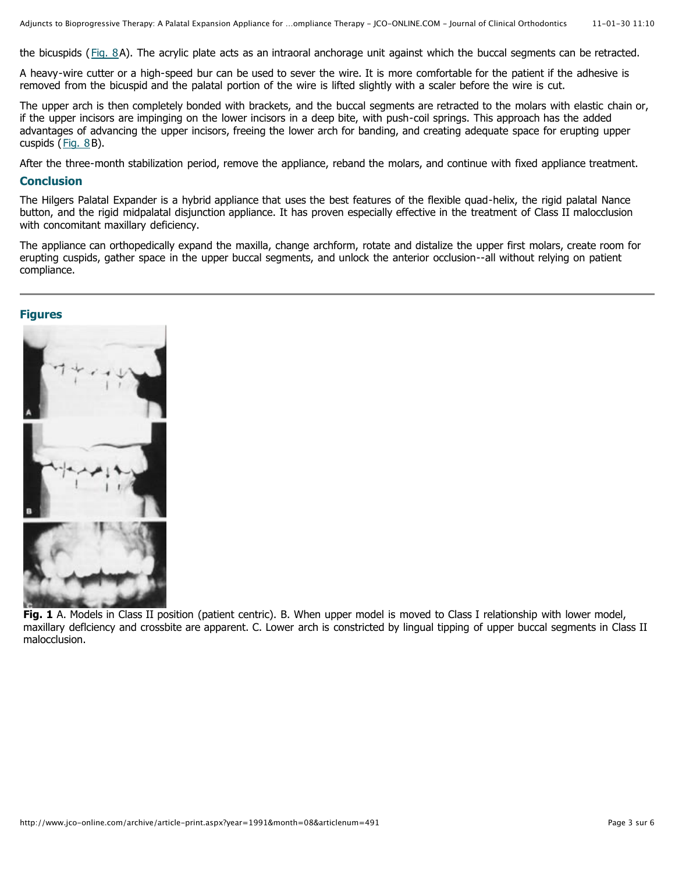the bicuspids (Fig. 8A). The acrylic plate acts as an intraoral anchorage unit against which the buccal segments can be retracted.

A heavy-wire cutter or a high-speed bur can be used to sever the wire. It is more comfortable for the patient if the adhesive is removed from the bicuspid and the palatal portion of the wire is lifted slightly with a scaler before the wire is cut.

The upper arch is then completely bonded with brackets, and the buccal segments are retracted to the molars with elastic chain or, if the upper incisors are impinging on the lower incisors in a deep bite, with push-coil springs. This approach has the added advantages of advancing the upper incisors, freeing the lower arch for banding, and creating adequate space for erupting upper cuspids  $(Fiq. 8B)$ .

After the three-month stabilization period, remove the appliance, reband the molars, and continue with fixed appliance treatment.

#### **Conclusion**

The Hilgers Palatal Expander is a hybrid appliance that uses the best features of the flexible quad-helix, the rigid palatal Nance button, and the rigid midpalatal disjunction appliance. It has proven especially effective in the treatment of Class II malocclusion with concomitant maxillary deficiency.

The appliance can orthopedically expand the maxilla, change archform, rotate and distalize the upper first molars, create room for erupting cuspids, gather space in the upper buccal segments, and unlock the anterior occlusion--all without relying on patient compliance.

### **Figures**



**Fig. 1** A. Models in Class II position (patient centric). B. When upper model is moved to Class I relationship with lower model, maxillary deflciency and crossbite are apparent. C. Lower arch is constricted by lingual tipping of upper buccal segments in Class II malocclusion.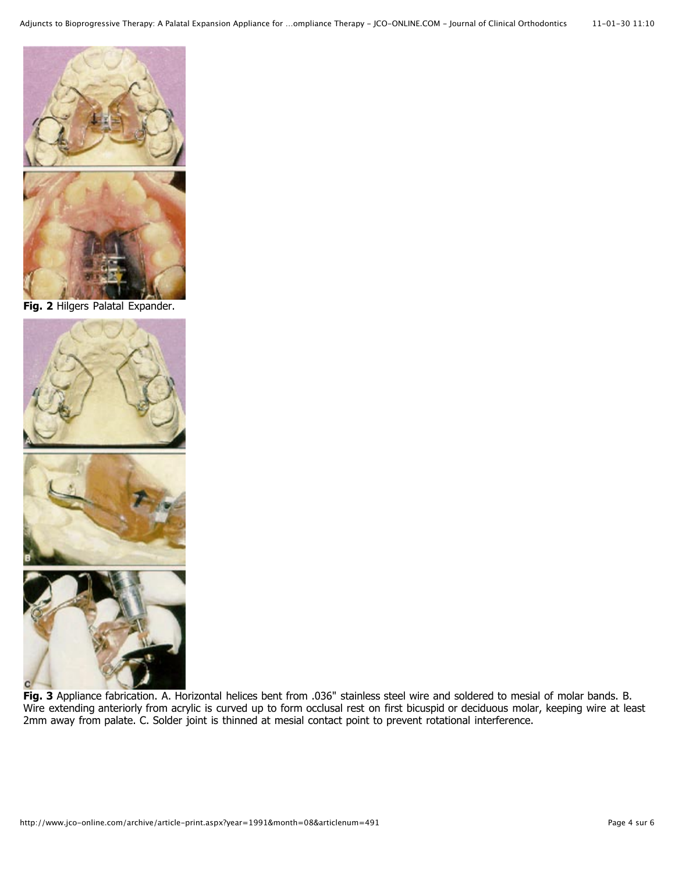

**Fig. 2** Hilgers Palatal Expander.



**Fig. 3** Appliance fabrication. A. Horizontal helices bent from .036" stainless steel wire and soldered to mesial of molar bands. B. Wire extending anteriorly from acrylic is curved up to form occlusal rest on first bicuspid or deciduous molar, keeping wire at least 2mm away from palate. C. Solder joint is thinned at mesial contact point to prevent rotational interference.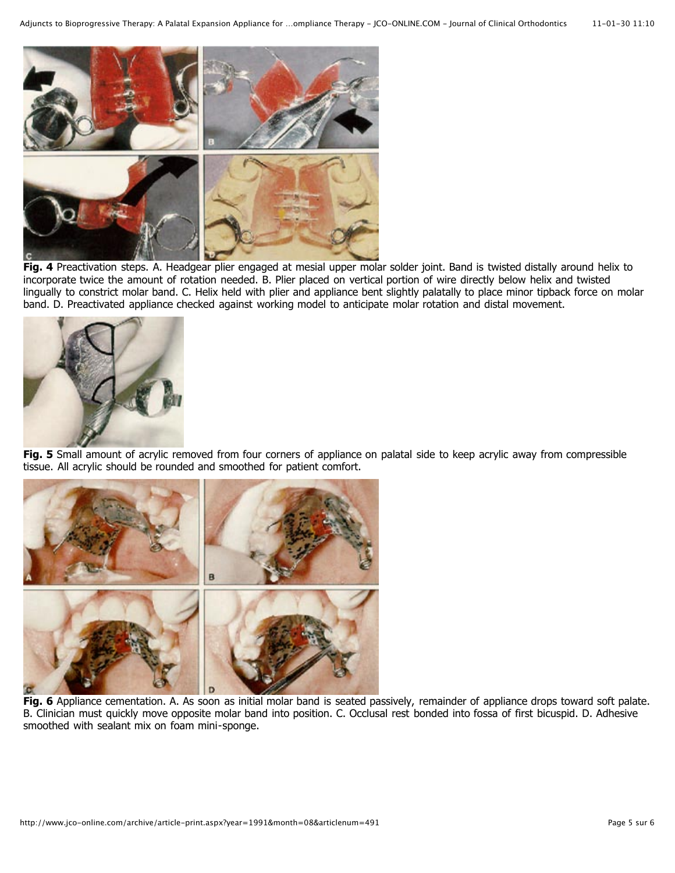

**Fig. 4** Preactivation steps. A. Headgear plier engaged at mesial upper molar solder joint. Band is twisted distally around helix to incorporate twice the amount of rotation needed. B. Plier placed on vertical portion of wire directly below helix and twisted lingually to constrict molar band. C. Helix held with plier and appliance bent slightly palatally to place minor tipback force on molar band. D. Preactivated appliance checked against working model to anticipate molar rotation and distal movement.



**Fig. 5** Small amount of acrylic removed from four corners of appliance on palatal side to keep acrylic away from compressible tissue. All acrylic should be rounded and smoothed for patient comfort.



**Fig. 6** Appliance cementation. A. As soon as initial molar band is seated passively, remainder of appliance drops toward soft palate. B. Clinician must quickly move opposite molar band into position. C. Occlusal rest bonded into fossa of first bicuspid. D. Adhesive smoothed with sealant mix on foam mini-sponge.